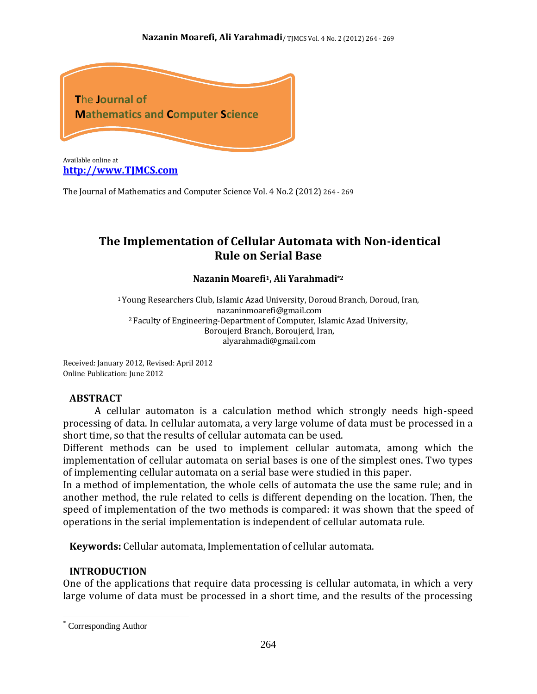

**[http://www.TJMCS.com](http://www.tjmcs.com/)**

The Journal of Mathematics and Computer Science Vol. 4 No.2 (2012) 264 - 269

# **The Implementation of Cellular Automata with Non-identical Rule on Serial Base**

#### **Nazanin Moarefi1, Ali Yarahmadi\*2**

<sup>1</sup>Young Researchers Club, Islamic Azad University, Doroud Branch, Doroud, Iran, nazaninmoarefi@gmail.com <sup>2</sup> Faculty of Engineering-Department of Computer, Islamic Azad University, Boroujerd Branch, Boroujerd, Iran, alyarahmadi@gmail.com

Received: January 2012, Revised: April 2012 Online Publication: June 2012

#### **ABSTRACT**

A cellular automaton is a calculation method which strongly needs high-speed processing of data. In cellular automata, a very large volume of data must be processed in a short time, so that the results of cellular automata can be used.

Different methods can be used to implement cellular automata, among which the implementation of cellular automata on serial bases is one of the simplest ones. Two types of implementing cellular automata on a serial base were studied in this paper.

In a method of implementation, the whole cells of automata the use the same rule; and in another method, the rule related to cells is different depending on the location. Then, the speed of implementation of the two methods is compared: it was shown that the speed of operations in the serial implementation is independent of cellular automata rule.

**Keywords:** Cellular automata, Implementation of cellular automata.

#### **INTRODUCTION**

One of the applications that require data processing is cellular automata, in which a very large volume of data must be processed in a short time, and the results of the processing

 $\overline{a}$ 

<sup>\*</sup> Corresponding Author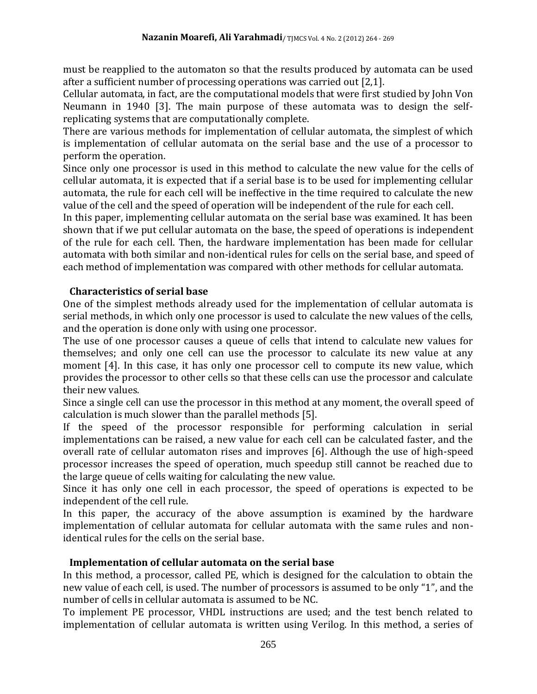must be reapplied to the automaton so that the results produced by automata can be used after a sufficient number of processing operations was carried out [2,1].

Cellular automata, in fact, are the computational models that were first studied by John Von Neumann in 1940 [3]. The main purpose of these automata was to design the selfreplicating systems that are computationally complete.

There are various methods for implementation of cellular automata, the simplest of which is implementation of cellular automata on the serial base and the use of a processor to perform the operation.

Since only one processor is used in this method to calculate the new value for the cells of cellular automata, it is expected that if a serial base is to be used for implementing cellular automata, the rule for each cell will be ineffective in the time required to calculate the new value of the cell and the speed of operation will be independent of the rule for each cell.

In this paper, implementing cellular automata on the serial base was examined. It has been shown that if we put cellular automata on the base, the speed of operations is independent of the rule for each cell. Then, the hardware implementation has been made for cellular automata with both similar and non-identical rules for cells on the serial base, and speed of each method of implementation was compared with other methods for cellular automata.

### **Characteristics of serial base**

One of the simplest methods already used for the implementation of cellular automata is serial methods, in which only one processor is used to calculate the new values of the cells, and the operation is done only with using one processor.

The use of one processor causes a queue of cells that intend to calculate new values for themselves; and only one cell can use the processor to calculate its new value at any moment [4]. In this case, it has only one processor cell to compute its new value, which provides the processor to other cells so that these cells can use the processor and calculate their new values.

Since a single cell can use the processor in this method at any moment, the overall speed of calculation is much slower than the parallel methods [5].

If the speed of the processor responsible for performing calculation in serial implementations can be raised, a new value for each cell can be calculated faster, and the overall rate of cellular automaton rises and improves [6]. Although the use of high-speed processor increases the speed of operation, much speedup still cannot be reached due to the large queue of cells waiting for calculating the new value.

Since it has only one cell in each processor, the speed of operations is expected to be independent of the cell rule.

In this paper, the accuracy of the above assumption is examined by the hardware implementation of cellular automata for cellular automata with the same rules and nonidentical rules for the cells on the serial base.

### **Implementation of cellular automata on the serial base**

In this method, a processor, called PE, which is designed for the calculation to obtain the new value of each cell, is used. The number of processors is assumed to be only "1", and the number of cells in cellular automata is assumed to be NC.

To implement PE processor, VHDL instructions are used; and the test bench related to implementation of cellular automata is written using Verilog. In this method, a series of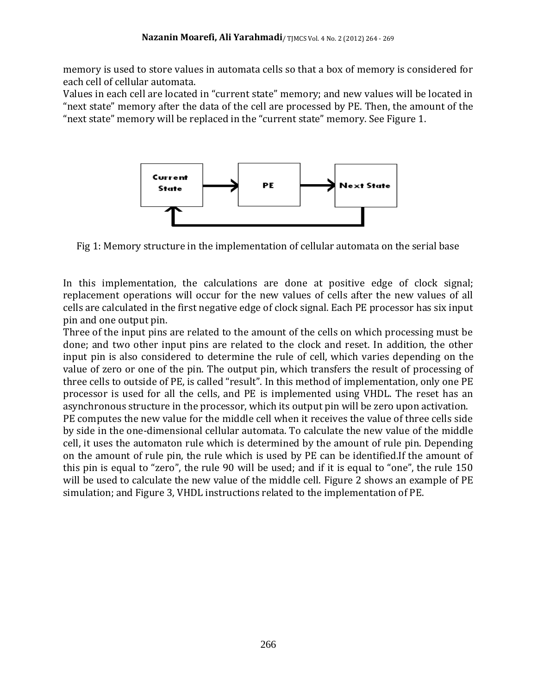memory is used to store values in automata cells so that a box of memory is considered for each cell of cellular automata.

Values in each cell are located in "current state" memory; and new values will be located in "next state" memory after the data of the cell are processed by PE. Then, the amount of the "next state" memory will be replaced in the "current state" memory. See Figure 1.



Fig 1: Memory structure in the implementation of cellular automata on the serial base

In this implementation, the calculations are done at positive edge of clock signal; replacement operations will occur for the new values of cells after the new values of all cells are calculated in the first negative edge of clock signal. Each PE processor has six input pin and one output pin.

Three of the input pins are related to the amount of the cells on which processing must be done; and two other input pins are related to the clock and reset. In addition, the other input pin is also considered to determine the rule of cell, which varies depending on the value of zero or one of the pin. The output pin, which transfers the result of processing of three cells to outside of PE, is called "result". In this method of implementation, only one PE processor is used for all the cells, and PE is implemented using VHDL. The reset has an asynchronous structure in the processor, which its output pin will be zero upon activation. PE computes the new value for the middle cell when it receives the value of three cells side by side in the one-dimensional cellular automata. To calculate the new value of the middle cell, it uses the automaton rule which is determined by the amount of rule pin. Depending on the amount of rule pin, the rule which is used by PE can be identified.If the amount of this pin is equal to "zero", the rule 90 will be used; and if it is equal to "one", the rule 150 will be used to calculate the new value of the middle cell. Figure 2 shows an example of PE simulation; and Figure 3, VHDL instructions related to the implementation of PE.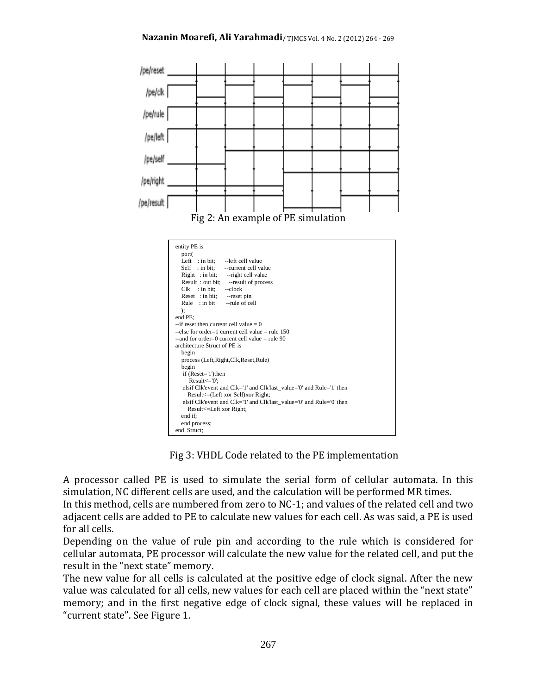

Fig 3: VHDL Code related to the PE implementation

A processor called PE is used to simulate the serial form of cellular automata. In this simulation, NC different cells are used, and the calculation will be performed MR times.

In this method, cells are numbered from zero to NC-1; and values of the related cell and two adjacent cells are added to PE to calculate new values for each cell. As was said, a PE is used for all cells.

Depending on the value of rule pin and according to the rule which is considered for cellular automata, PE processor will calculate the new value for the related cell, and put the result in the "next state" memory.

The new value for all cells is calculated at the positive edge of clock signal. After the new value was calculated for all cells, new values for each cell are placed within the "next state" memory; and in the first negative edge of clock signal, these values will be replaced in "current state". See Figure 1.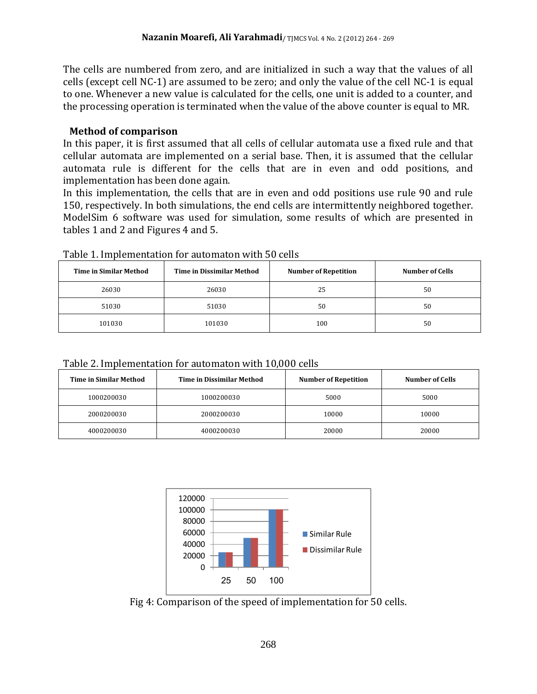The cells are numbered from zero, and are initialized in such a way that the values of all cells (except cell NC-1) are assumed to be zero; and only the value of the cell NC-1 is equal to one. Whenever a new value is calculated for the cells, one unit is added to a counter, and the processing operation is terminated when the value of the above counter is equal to MR.

#### **Method of comparison**

In this paper, it is first assumed that all cells of cellular automata use a fixed rule and that cellular automata are implemented on a serial base. Then, it is assumed that the cellular automata rule is different for the cells that are in even and odd positions, and implementation has been done again.

In this implementation, the cells that are in even and odd positions use rule 90 and rule 150, respectively. In both simulations, the end cells are intermittently neighbored together. ModelSim 6 software was used for simulation, some results of which are presented in tables 1 and 2 and Figures 4 and 5.

| <b>Time in Similar Method</b> | <b>Time in Dissimilar Method</b> | <b>Number of Repetition</b> | <b>Number of Cells</b> |
|-------------------------------|----------------------------------|-----------------------------|------------------------|
| 26030                         | 26030                            | 25                          | 50                     |
| 51030                         | 51030                            | 50                          | 50                     |
| 101030                        | 101030                           | 100                         | 50                     |

Table 1. Implementation for automaton with 50 cells

| Table 2. Implementation for automaton with 10,000 cells |
|---------------------------------------------------------|
|---------------------------------------------------------|

| Time in Similar Method | <b>Time in Dissimilar Method</b> | <b>Number of Repetition</b> | Number of Cells |
|------------------------|----------------------------------|-----------------------------|-----------------|
| 1000200030             | 1000200030                       | 5000                        | 5000            |
| 2000200030             | 2000200030                       | 10000                       | 10000           |
| 4000200030             | 4000200030                       | 20000                       | 20000           |



Fig 4: Comparison of the speed of implementation for 50 cells.